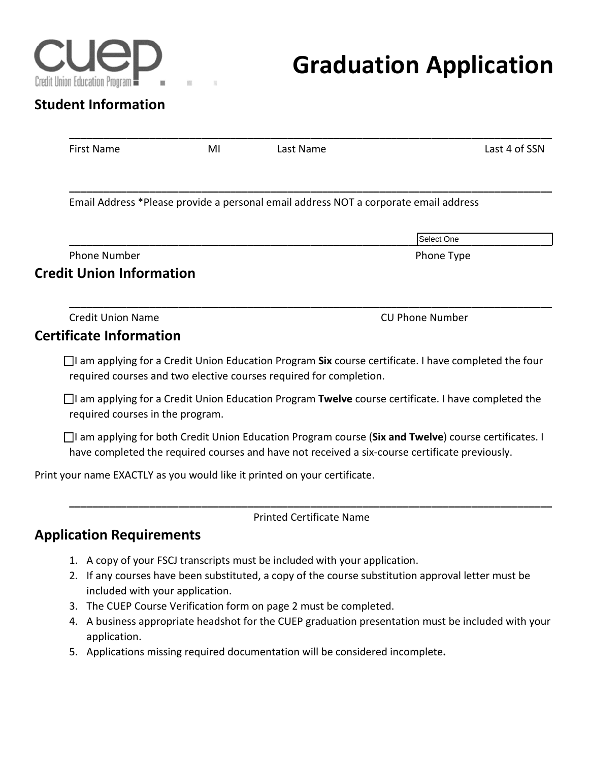

# **Graduation Application**

## **Student Information**

| Last 4 of SSN                                                                                                                                                                                            |
|----------------------------------------------------------------------------------------------------------------------------------------------------------------------------------------------------------|
| Email Address *Please provide a personal email address NOT a corporate email address                                                                                                                     |
| Select One                                                                                                                                                                                               |
| Phone Type                                                                                                                                                                                               |
|                                                                                                                                                                                                          |
| <b>CU Phone Number</b>                                                                                                                                                                                   |
|                                                                                                                                                                                                          |
| $\Box$ I am applying for a Credit Union Education Program Six course certificate. I have completed the four                                                                                              |
| $\Box$ I am applying for a Credit Union Education Program Twelve course certificate. I have completed the                                                                                                |
| □ I am applying for both Credit Union Education Program course (Six and Twelve) course certificates. I<br>have completed the required courses and have not received a six-course certificate previously. |
|                                                                                                                                                                                                          |
|                                                                                                                                                                                                          |
|                                                                                                                                                                                                          |

- 1. A copy of your FSCJ transcripts must be included with your application.
- 2. If any courses have been substituted, a copy of the course substitution approval letter must be included with your application.
- 3. The CUEP Course Verification form on page 2 must be completed.
- 4. A business appropriate headshot for the CUEP graduation presentation must be included with your application.
- 5. Applications missing required documentation will be considered incomplete**.**